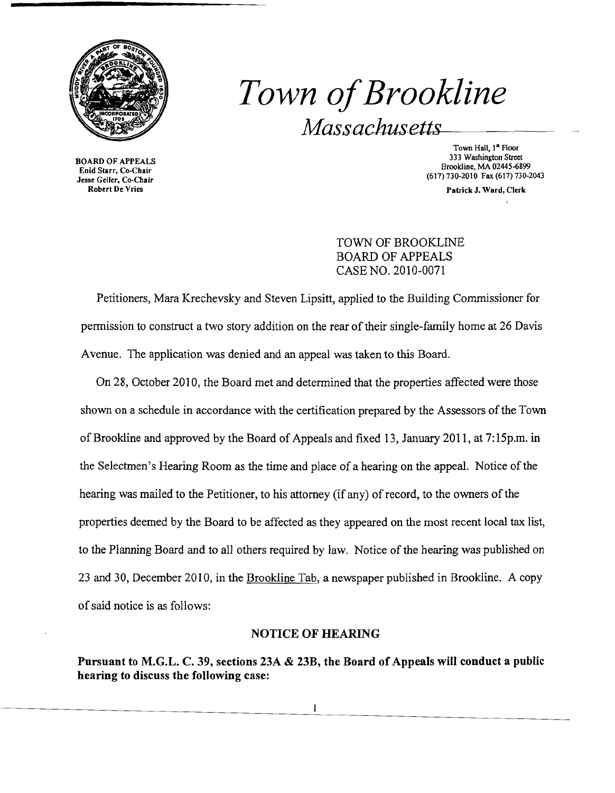

# *Town ofBrookline* Massachusetts

BOARD OF APPEALS Enid Starr, Co-Chair Jesse Geller, Co-Chair Robert De Vries

Town Hall, 1<sup>st</sup> Floor 333 Washington Street Brookline, MA 02445-6899 (617) 730-2010 Fax (617) 730-2043

Patrick J. Ward, Clerk

## TOWN OF BROOKLINE BOARD OF APPEALS CASE NO. 2010-0071

Petitioners, Mara Krechevsky and Steven Lipsitt, applied to the Building Commissioner for permission to construct a two story addition on the rear of their single-family home at 26 Davis Avenue. The application was denied and an appeal was taken to this Board.

On 28, October 2010, the Board met and determined that the properties affected were those shown on a schedule in accordance with the certification prepared by the Assessors of the Town of Brookline and approved by the Board of Appeals and fixed 13, January 2011, at 7:15p.m. in the Selectmen's Hearing Room as the time and place of a hearing on the appeal. Notice of the hearing was mailed to the Petitioner, to his attorney (if any) of record, to the owners of the properties deemed by the Board to be affected as they appeared on the most recent local tax list, to the Planning Board and to all others required by law. Notice of the hearing was published on 23 and 30, December 2010, in the Brookline Tab, a newspaper published in Brookline. A copy of said notice is as follows:

### NOTICE OF HEARING

Pursuant to M.G.L. C. 39, sections 23A & 23B, the Board of Appeals will conduct a public hearing to discuss the following case: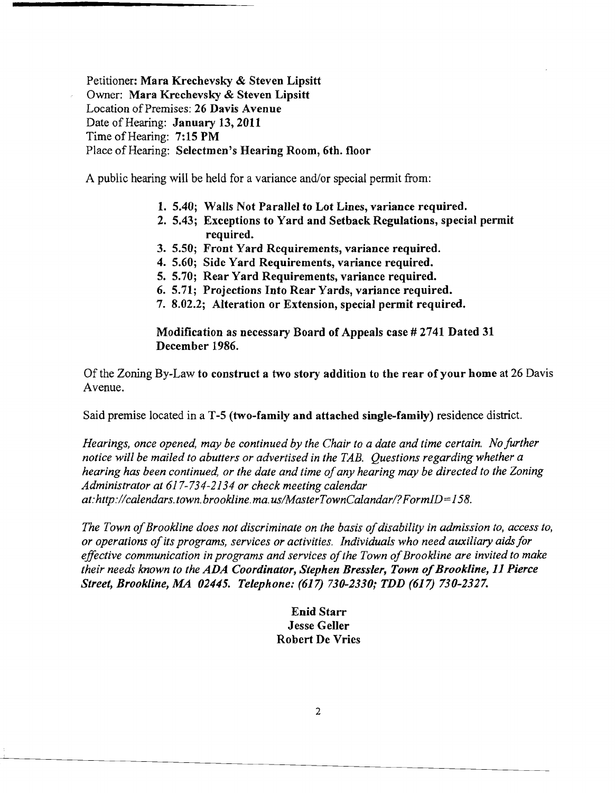Petitioner: Mara Krechevsky & Steven Lipsitt Owner: Mara Krechevsky & Steven Lipsitt Location of Premises: 26 Davis Avenue Date of Hearing: January 13, 2011 Time of Hearing: 7:15 PM Place of Hearing: Selectmen's Hearing Room, 6th. floor

A public hearing will be held for a variance and/or special permit from:

- 1. 5.40; Walls Not Parallel to Lot Lines, variance required.
- 2. 5.43; Exceptions to Yard and Setback Regulations, special permit required.
- 3. 5.50; Front Yard Requirements, variance required.
- 4. 5.60; Side Yard Requirements, variance required.
- 5. 5.70; Rear Yard Requirements, variance required.
- 6. 5.71; Projections Into Rear Yards, variance required.
- 7. 8.02.2; Alteration or Extension, special permit required.

Modification as necessary Board of Appeals case # 2741 Dated 31 December 1986.

Of the Zoning By-Law to construct a two story addition to the rear of your home at 26 Davis Avenue.

Said premise located in a T-5 (two-family and attached single-family) residence district.

*Hearings, once opened, may be continued by the Chair to a date and time certain. No further notice will be mailed to abutters or advertised in the TAB. Questions regarding whether a hearing has been continued, or the date and time ofany hearing may be directed to the Zoning Administrator at* 617-734-2134 *or check meeting calendar at:http://calendars.town.brookline.ma.usIMasterTownCalandarl?FormID=158.* 

The Town of Brookline does not discriminate on the basis of disability in admission to, access to, *or operations ofits programs, services or activities. Individuals who need auxiliary aidsfor effective communication in programs and services of the Town of Brookline are invited to make their needs known to the ADA Coordinator, Stephen Bressler, Town of Brookline, 11 Pierce Street, Brookline, MA 02445. Telephone:* (617) *730-2330; TDD* (617) *730-2327.* 

> Enid Starr Jesse Geller Robert De Vries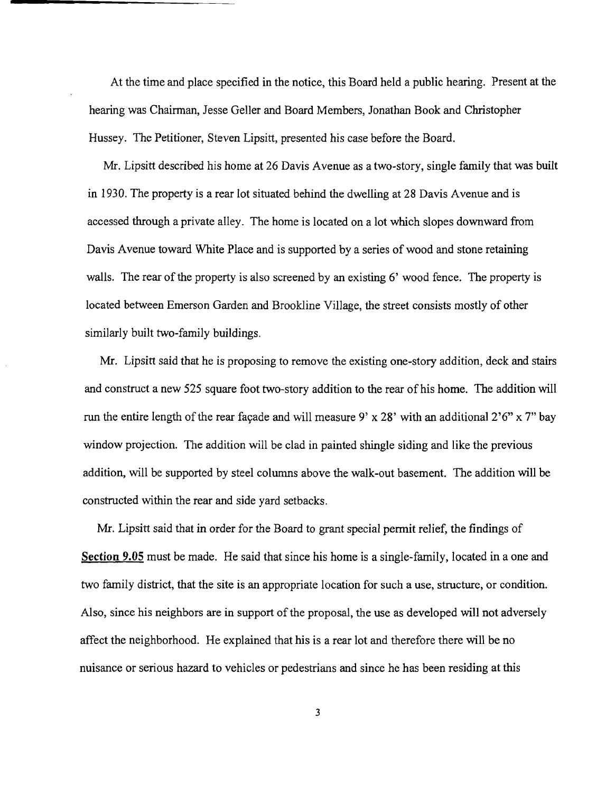At the time and place specified in the notice, this Board held a public hearing. Present at the hearing was Chairman, Jesse Geller and Board Members, Jonathan Book and Christopher Hussey. The Petitioner, Steven Lipsitt, presented his case before the Board.

Mr. Lipsitt described his home at 26 Davis Avenue as a two-story, single family that was built in 1930. The property is a rear lot situated behind the dwelling at 28 Davis Avenue and is accessed through a private alley. The home is located on a lot which slopes downward from Davis Avenue toward White Place and is supported by a series of wood and stone retaining walls. The rear of the property is also screened by an existing 6' wood fence. The property is located between Emerson Garden and Brookline Village, the street consists mostly of other similarly built two-family buildings.

Mr. Lipsitt said that he is proposing to remove the existing one-story addition, deck and stairs and construct a new 525 square foot two-story addition to the rear of his home. The addition will run the entire length of the rear façade and will measure 9' x 28' with an additional  $2'6''$  x 7" bay window projection. The addition will be clad in painted shingle siding and like the previous addition, will be supported by steel columns above the walk-out basement. The addition will be constructed within the rear and side yard setbacks.

Mr. Lipsitt said that in order for the Board to grant special permit relief, the findings of **Section 9.05** must be made. He said that since his home is a single-family, located in a one and two family district, that the site is an appropriate location for such a use, structure, or condition. Also, since his neighbors are in support of the proposal, the use as developed will not adversely affect the neighborhood. He explained that his is a rear lot and therefore there will be no nuisance or serious hazard to vehicles or pedestrians and since he has been residing at this

3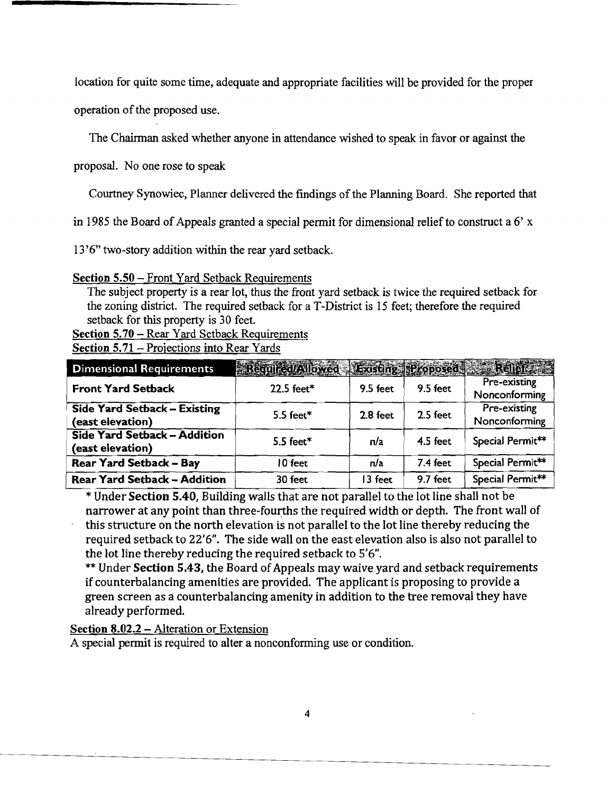location for quite some time, adequate and appropriate facilities will be provided for the proper

operation of the proposed use.

The Chairman asked whether anyone in attendance wished to speak in favor or against the

proposal. No one rose to speak

Courtney Synowiec, Planner delivered the findings of the Planning Board. She reported that

in 1985 the Board of Appeals granted a special permit for dimensional relief to construct a  $6'$  x

13'6" two-story addition within the rear yard setback.

#### Section 5.50 - Front Yard Setback Requirements

The subject property is a rear lot, thus the front yard setback is twice the required setback for the zoning district. The required setback for a T-District is 15 feet; therefore the required setback for this property is 30 feet.

Section 5.70 - Rear Yard Setback Requirements

Section 5.71 - Projections into Rear Yards

| <b>Dimensional Requirements</b>                  | Required/Allowed Existing Proposed Relief |            |            |                               |
|--------------------------------------------------|-------------------------------------------|------------|------------|-------------------------------|
| <b>Front Yard Setback</b>                        | 22.5 feet*                                | 9.5 feet   | 9.5 feet   | Pre-existing<br>Nonconforming |
| Side Yard Setback - Existing<br>(east elevation) | 5.5 feet $*$                              | $2.8$ feet | 2.5 feet   | Pre-existing<br>Nonconforming |
| Side Yard Setback - Addition<br>(east elevation) | 5.5 feet $*$                              | n/a        | $4.5$ feet | Special Permit**              |
| <b>Rear Yard Setback - Bay</b>                   | 10 feet                                   | n/a        | 7.4 feet   | Special Permit**              |
| <b>Rear Yard Setback - Addition</b>              | 30 feet                                   | 13 feet    | 9.7 feet   | Special Permit**              |

\* Under Section 5.40, Building walls that are not parallel to the lot line shall not be narrower at any point than three-fourths the required width or depth. The front wall of this structure on the north elevation is not parallel to the lot line thereby reducing the required setback to 22'6". The side wall on the east elevation also is also not parallel to the lot line thereby reducing the required setback to 5'6".

\*\* Under Section 5.43, the Board of Appeals may waive yard and setback requirements if counterbalancing amenities are provided. The applicant is proposing to provide a green screen as a counterbalancing amenity in addition to the tree removal they have already performed.

#### Section  $8.02.2$  – Alteration or Extension

A special permit is required to alter a nonconforming use or condition.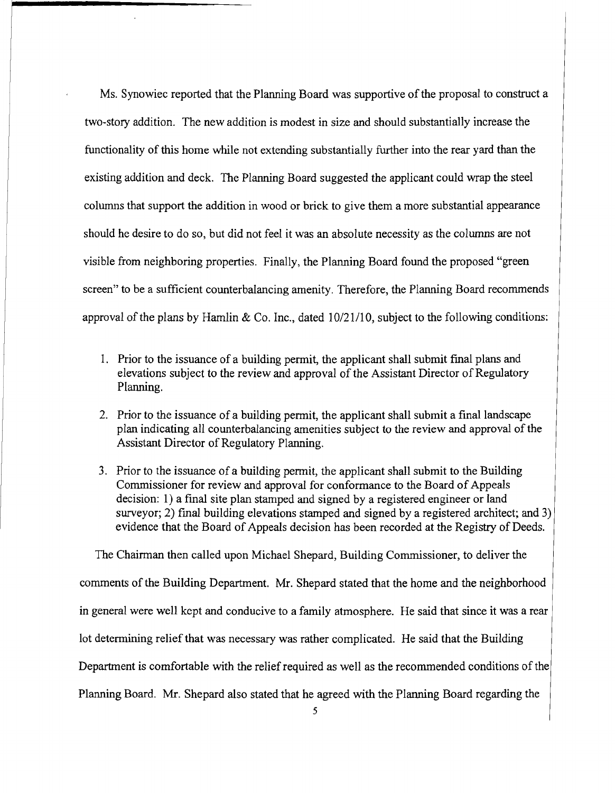Ms. Synowiec reported that the Planning Board was supportive of the proposal to construct a two-story addition. The new addition is modest in size and should substantially increase the functionality of this home while not extending substantially further into the rear yard than the existing addition and deck. The Planning Board suggested the applicant could wrap the steel colwnns that support the addition in wood or brick to give them a more substantial appearance should he desire to do so, but did not feel it was an absolute necessity as the columns are not visible from neighboring properties. Finally, the Planning Board found the proposed "green screen" to be a sufficient counterbalancing amenity. Therefore, the Planning Board recommends approval of the plans by Hamlin & Co. Inc., dated  $10/21/10$ , subject to the following conditions:

- 1. Prior to the issuance of a building permit, the applicant shall submit final plans and elevations subject to the review and approval of the Assistant Director of Regulatory Planning.
- 2. Prior to the issuance of a building permit, the applicant shall submit a final landscape plan indicating all counterbalancing amenities subject to the review and approval of the Assistant Director of Regulatory Planning.
- 3. Prior to the issuance of a building permit, the applicant shall submit to the Building Commissioner for review and approval for conformance to the Board of Appeals decision: 1) a final site plan stamped and signed by a registered engineer or land surveyor; 2) final building elevations stamped and signed by a registered architect; and 3) evidence that the Board of Appeals decision has been recorded at the Registry of Deeds.

The Chairman then called upon Michael Shepard, Building Commissioner, to deliver the comments of the Building Department. Mr. Shepard stated that the home and the neighborhood in general were well kept and conducive to a family atmosphere. He said that since it was a rear lot determining relief that was necessary was rather complicated. He said that the Building Department is comfortable with the relief required as well as the recommended conditions of the Planning Board. Mr. Shepard also stated that he agreed with the Planning Board regarding the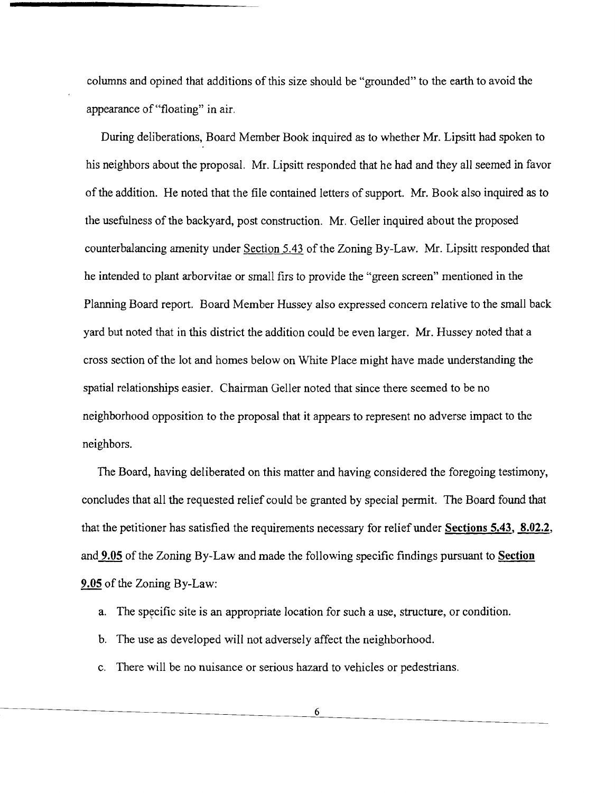columns and opined that additions of this size should be "grounded" to the earth to avoid the appearance of "floating" in air.

During deliberations, Board Member Book inquired as to whether Mr. Lipsitt had spoken to his neighbors about the proposal. Mr. Lipsitt responded that he had and they all seemed in favor of the addition. He noted that the file contained letters of support. Mr. Book also inquired as to the usefulness of the backyard, post construction. Mr. Geller inquired about the proposed counterbalancing amenity under Section 5.43 of the Zoning By-Law. Mr. Lipsitt responded that he intended to plant arborvitae or small firs to provide the "green screen" mentioned in the Planning Board report. Board Member Hussey also expressed concern relative to the small back yard but noted that in this district the addition could be even larger. Mr. Hussey noted that a cross section ofthe lot and homes below on White Place might have made understanding the spatial relationships easier. Chairman Geller noted that since there seemed to be no neighborhood opposition to the proposal that it appears to represent no adverse impact to the neighbors.

The Board, having deliberated on this matter and having considered the foregoing testimony, concludes that all the requested relief could be granted by special permit. The Board found that that the petitioner has satisfied the requirements necessary for relief under **Sections 5.43, 8.02.2,**  and **9.05** of the Zoning By~Law and made the following specific findings pursuant to **Section 9.05** of the Zoning By-Law:

- a. The specific site is an appropriate location for such a use, structure, or condition.
- b. The use as developed will not adversely affect the neighborhood.
- c. There will be no nuisance or serious hazard to vehicles or pedestrians.

6